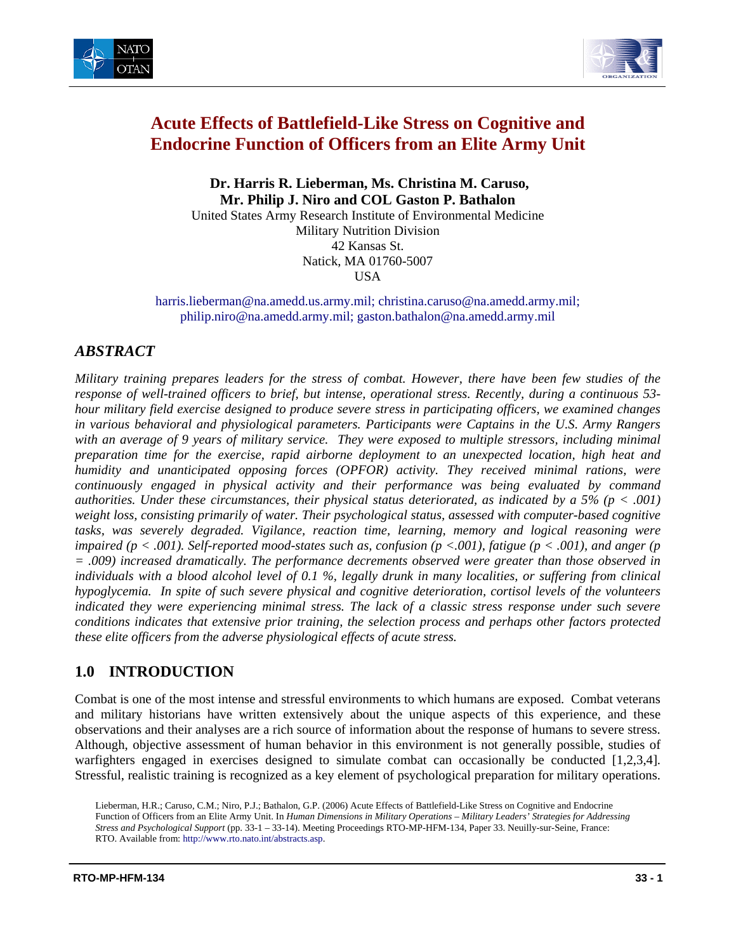



# **Acute Effects of Battlefield-Like Stress on Cognitive and Endocrine Function of Officers from an Elite Army Unit**

 **Dr. Harris R. Lieberman, Ms. Christina M. Caruso, Mr. Philip J. Niro and COL Gaston P. Bathalon** 

United States Army Research Institute of Environmental Medicine Military Nutrition Division 42 Kansas St. Natick, MA 01760-5007 USA

[harris.lieberman@na.amedd.us.army.mil;](mailto:harris.lieberman@na.amedd.us.army.mil) [christina.caruso@na.amedd.army.mil;](mailto:christina.caruso@na.amedd.army.mil) [philip.niro@na.amedd.army.mil;](mailto:philip.niro@na.amedd.army.mil) [gaston.bathalon@na.amedd.army.mil](mailto:gaston.bathalon@na.amedd.army.mil) 

## *ABSTRACT*

*Military training prepares leaders for the stress of combat. However, there have been few studies of the response of well-trained officers to brief, but intense, operational stress. Recently, during a continuous 53 hour military field exercise designed to produce severe stress in participating officers, we examined changes in various behavioral and physiological parameters. Participants were Captains in the U.S. Army Rangers with an average of 9 years of military service. They were exposed to multiple stressors, including minimal preparation time for the exercise, rapid airborne deployment to an unexpected location, high heat and humidity and unanticipated opposing forces (OPFOR) activity. They received minimal rations, were continuously engaged in physical activity and their performance was being evaluated by command authorities. Under these circumstances, their physical status deteriorated, as indicated by a 5% (p < .001) weight loss, consisting primarily of water. Their psychological status, assessed with computer-based cognitive tasks, was severely degraded. Vigilance, reaction time, learning, memory and logical reasoning were impaired (p < .001). Self-reported mood-states such as, confusion (p <.001), fatigue (p < .001), and anger (p = .009) increased dramatically. The performance decrements observed were greater than those observed in individuals with a blood alcohol level of 0.1 %, legally drunk in many localities, or suffering from clinical hypoglycemia. In spite of such severe physical and cognitive deterioration, cortisol levels of the volunteers indicated they were experiencing minimal stress. The lack of a classic stress response under such severe conditions indicates that extensive prior training, the selection process and perhaps other factors protected these elite officers from the adverse physiological effects of acute stress.* 

## **1.0 INTRODUCTION**

Combat is one of the most intense and stressful environments to which humans are exposed. Combat veterans and military historians have written extensively about the unique aspects of this experience, and these observations and their analyses are a rich source of information about the response of humans to severe stress. Although, objective assessment of human behavior in this environment is not generally possible, studies of warfighters engaged in exercises designed to simulate combat can occasionally be conducted [1,2,3,4]. Stressful, realistic training is recognized as a key element of psychological preparation for military operations.

Lieberman, H.R.; Caruso, C.M.; Niro, P.J.; Bathalon, G.P. (2006) Acute Effects of Battlefield-Like Stress on Cognitive and Endocrine Function of Officers from an Elite Army Unit. In *Human Dimensions in Military Operations – Military Leaders' Strategies for Addressing Stress and Psychological Support* (pp. 33-1 – 33-14). Meeting Proceedings RTO-MP-HFM-134, Paper 33. Neuilly-sur-Seine, France: RTO. Available from: [http://www.rto.nato.int/abstracts.asp.](http://www.rto.nato.int/abstracts.asp)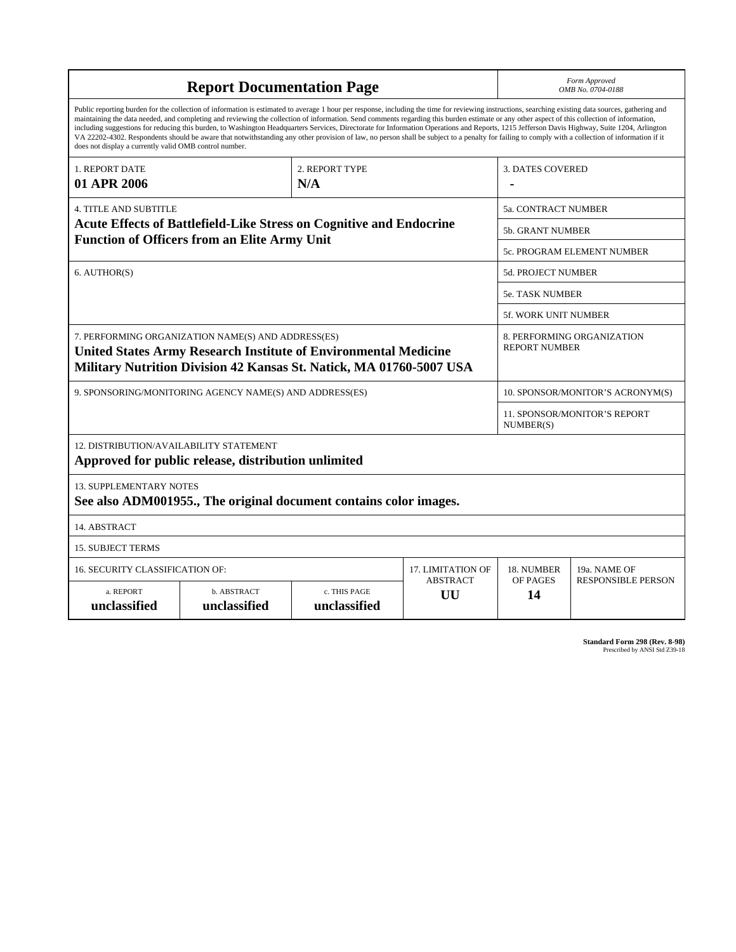| <b>Report Documentation Page</b>                                                                                                                                                                                                                                                                                                                                                                                                                                                                                                                                                                                                                                                                                                                                                                                                                                   |                             |                              |                       |                         | Form Approved<br>OMB No. 0704-0188                 |  |  |
|--------------------------------------------------------------------------------------------------------------------------------------------------------------------------------------------------------------------------------------------------------------------------------------------------------------------------------------------------------------------------------------------------------------------------------------------------------------------------------------------------------------------------------------------------------------------------------------------------------------------------------------------------------------------------------------------------------------------------------------------------------------------------------------------------------------------------------------------------------------------|-----------------------------|------------------------------|-----------------------|-------------------------|----------------------------------------------------|--|--|
| Public reporting burden for the collection of information is estimated to average 1 hour per response, including the time for reviewing instructions, searching existing data sources, gathering and<br>maintaining the data needed, and completing and reviewing the collection of information. Send comments regarding this burden estimate or any other aspect of this collection of information,<br>including suggestions for reducing this burden, to Washington Headquarters Services, Directorate for Information Operations and Reports, 1215 Jefferson Davis Highway, Suite 1204, Arlington<br>VA 22202-4302. Respondents should be aware that notwithstanding any other provision of law, no person shall be subject to a penalty for failing to comply with a collection of information if it<br>does not display a currently valid OMB control number. |                             |                              |                       |                         |                                                    |  |  |
| 1. REPORT DATE<br>01 APR 2006                                                                                                                                                                                                                                                                                                                                                                                                                                                                                                                                                                                                                                                                                                                                                                                                                                      |                             | 2. REPORT TYPE<br>N/A        |                       | <b>3. DATES COVERED</b> |                                                    |  |  |
| <b>4. TITLE AND SUBTITLE</b>                                                                                                                                                                                                                                                                                                                                                                                                                                                                                                                                                                                                                                                                                                                                                                                                                                       |                             |                              |                       | 5a. CONTRACT NUMBER     |                                                    |  |  |
| Acute Effects of Battlefield-Like Stress on Cognitive and Endocrine<br><b>Function of Officers from an Elite Army Unit</b>                                                                                                                                                                                                                                                                                                                                                                                                                                                                                                                                                                                                                                                                                                                                         |                             |                              |                       |                         | <b>5b. GRANT NUMBER</b>                            |  |  |
|                                                                                                                                                                                                                                                                                                                                                                                                                                                                                                                                                                                                                                                                                                                                                                                                                                                                    |                             |                              |                       |                         | <b>5c. PROGRAM ELEMENT NUMBER</b>                  |  |  |
| 6. AUTHOR(S)                                                                                                                                                                                                                                                                                                                                                                                                                                                                                                                                                                                                                                                                                                                                                                                                                                                       |                             |                              |                       |                         | <b>5d. PROJECT NUMBER</b>                          |  |  |
|                                                                                                                                                                                                                                                                                                                                                                                                                                                                                                                                                                                                                                                                                                                                                                                                                                                                    |                             |                              |                       |                         | <b>5e. TASK NUMBER</b>                             |  |  |
|                                                                                                                                                                                                                                                                                                                                                                                                                                                                                                                                                                                                                                                                                                                                                                                                                                                                    |                             |                              |                       |                         | 5f. WORK UNIT NUMBER                               |  |  |
| 7. PERFORMING ORGANIZATION NAME(S) AND ADDRESS(ES)<br><b>United States Army Research Institute of Environmental Medicine</b><br>Military Nutrition Division 42 Kansas St. Natick, MA 01760-5007 USA                                                                                                                                                                                                                                                                                                                                                                                                                                                                                                                                                                                                                                                                |                             |                              |                       |                         | 8. PERFORMING ORGANIZATION<br><b>REPORT NUMBER</b> |  |  |
| 9. SPONSORING/MONITORING AGENCY NAME(S) AND ADDRESS(ES)                                                                                                                                                                                                                                                                                                                                                                                                                                                                                                                                                                                                                                                                                                                                                                                                            |                             |                              |                       |                         | 10. SPONSOR/MONITOR'S ACRONYM(S)                   |  |  |
|                                                                                                                                                                                                                                                                                                                                                                                                                                                                                                                                                                                                                                                                                                                                                                                                                                                                    |                             |                              |                       |                         | 11. SPONSOR/MONITOR'S REPORT<br>NUMBER(S)          |  |  |
| 12. DISTRIBUTION/AVAILABILITY STATEMENT<br>Approved for public release, distribution unlimited                                                                                                                                                                                                                                                                                                                                                                                                                                                                                                                                                                                                                                                                                                                                                                     |                             |                              |                       |                         |                                                    |  |  |
| <b>13. SUPPLEMENTARY NOTES</b><br>See also ADM001955., The original document contains color images.                                                                                                                                                                                                                                                                                                                                                                                                                                                                                                                                                                                                                                                                                                                                                                |                             |                              |                       |                         |                                                    |  |  |
| 14. ABSTRACT                                                                                                                                                                                                                                                                                                                                                                                                                                                                                                                                                                                                                                                                                                                                                                                                                                                       |                             |                              |                       |                         |                                                    |  |  |
| <b>15. SUBJECT TERMS</b>                                                                                                                                                                                                                                                                                                                                                                                                                                                                                                                                                                                                                                                                                                                                                                                                                                           |                             |                              |                       |                         |                                                    |  |  |
| <b>16. SECURITY CLASSIFICATION OF:</b>                                                                                                                                                                                                                                                                                                                                                                                                                                                                                                                                                                                                                                                                                                                                                                                                                             |                             | 17. LIMITATION OF            | 18. NUMBER            | 19a. NAME OF            |                                                    |  |  |
| a. REPORT<br>unclassified                                                                                                                                                                                                                                                                                                                                                                                                                                                                                                                                                                                                                                                                                                                                                                                                                                          | b. ABSTRACT<br>unclassified | c. THIS PAGE<br>unclassified | <b>ABSTRACT</b><br>UU | OF PAGES<br>14          | <b>RESPONSIBLE PERSON</b>                          |  |  |

| <b>Standard Form 298 (Rev. 8-98)</b> |                               |  |  |
|--------------------------------------|-------------------------------|--|--|
|                                      | Prescribed by ANSI Std Z39-18 |  |  |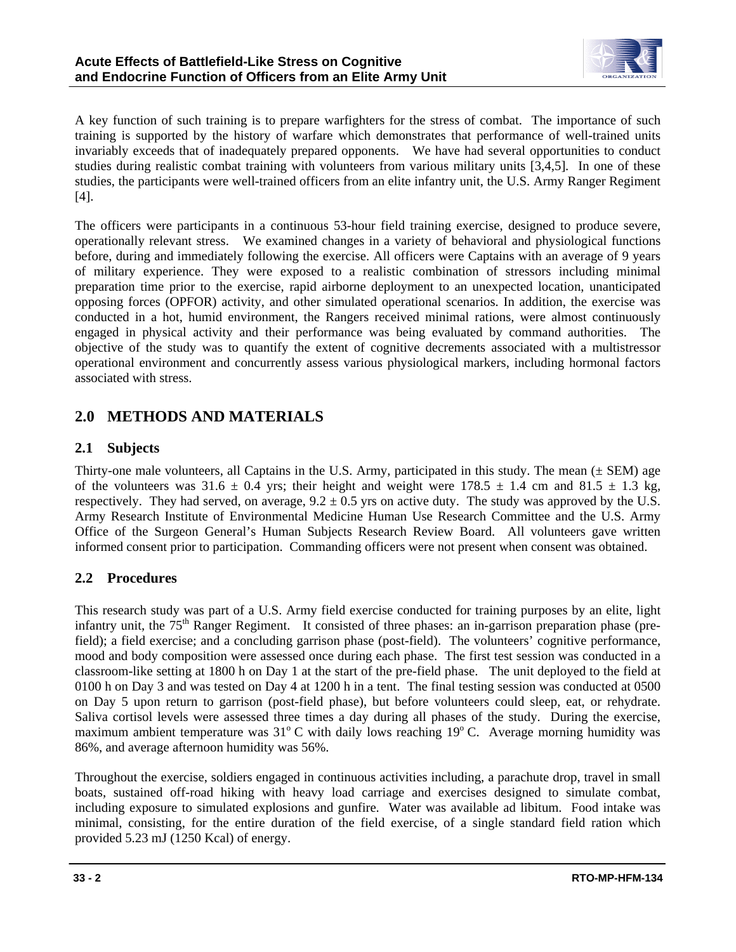

A key function of such training is to prepare warfighters for the stress of combat. The importance of such training is supported by the history of warfare which demonstrates that performance of well-trained units invariably exceeds that of inadequately prepared opponents. We have had several opportunities to conduct studies during realistic combat training with volunteers from various military units [3,4,5]. In one of these studies, the participants were well-trained officers from an elite infantry unit, the U.S. Army Ranger Regiment [4].

The officers were participants in a continuous 53-hour field training exercise, designed to produce severe, operationally relevant stress. We examined changes in a variety of behavioral and physiological functions before, during and immediately following the exercise. All officers were Captains with an average of 9 years of military experience. They were exposed to a realistic combination of stressors including minimal preparation time prior to the exercise, rapid airborne deployment to an unexpected location, unanticipated opposing forces (OPFOR) activity, and other simulated operational scenarios. In addition, the exercise was conducted in a hot, humid environment, the Rangers received minimal rations, were almost continuously engaged in physical activity and their performance was being evaluated by command authorities. The objective of the study was to quantify the extent of cognitive decrements associated with a multistressor operational environment and concurrently assess various physiological markers, including hormonal factors associated with stress.

## **2.0 METHODS AND MATERIALS**

## **2.1 Subjects**

Thirty-one male volunteers, all Captains in the U.S. Army, participated in this study. The mean (± SEM) age of the volunteers was  $31.6 \pm 0.4$  yrs; their height and weight were  $178.5 \pm 1.4$  cm and  $81.5 \pm 1.3$  kg, respectively. They had served, on average,  $9.2 \pm 0.5$  yrs on active duty. The study was approved by the U.S. Army Research Institute of Environmental Medicine Human Use Research Committee and the U.S. Army Office of the Surgeon General's Human Subjects Research Review Board. All volunteers gave written informed consent prior to participation. Commanding officers were not present when consent was obtained.

## **2.2 Procedures**

This research study was part of a U.S. Army field exercise conducted for training purposes by an elite, light infantry unit, the 75<sup>th</sup> Ranger Regiment. It consisted of three phases: an in-garrison preparation phase (prefield); a field exercise; and a concluding garrison phase (post-field). The volunteers' cognitive performance, mood and body composition were assessed once during each phase. The first test session was conducted in a classroom-like setting at 1800 h on Day 1 at the start of the pre-field phase. The unit deployed to the field at 0100 h on Day 3 and was tested on Day 4 at 1200 h in a tent. The final testing session was conducted at 0500 on Day 5 upon return to garrison (post-field phase), but before volunteers could sleep, eat, or rehydrate. Saliva cortisol levels were assessed three times a day during all phases of the study. During the exercise, maximum ambient temperature was  $31^{\circ}$ C with daily lows reaching  $19^{\circ}$ C. Average morning humidity was 86%, and average afternoon humidity was 56%.

Throughout the exercise, soldiers engaged in continuous activities including, a parachute drop, travel in small boats, sustained off-road hiking with heavy load carriage and exercises designed to simulate combat, including exposure to simulated explosions and gunfire. Water was available ad libitum. Food intake was minimal, consisting, for the entire duration of the field exercise, of a single standard field ration which provided 5.23 mJ (1250 Kcal) of energy.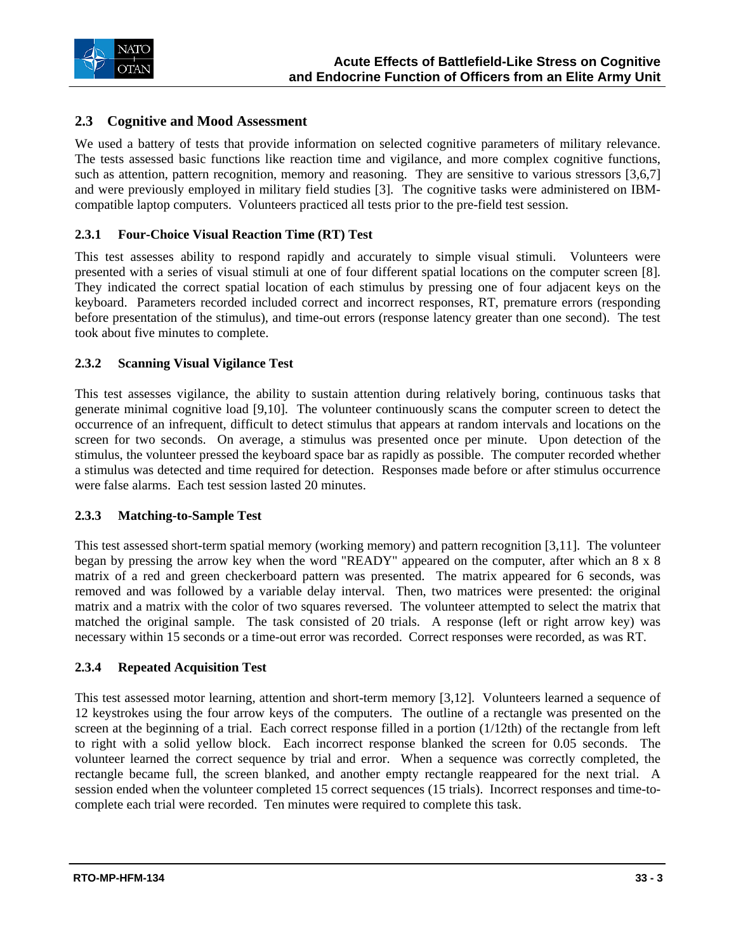

### **2.3 Cognitive and Mood Assessment**

We used a battery of tests that provide information on selected cognitive parameters of military relevance. The tests assessed basic functions like reaction time and vigilance, and more complex cognitive functions, such as attention, pattern recognition, memory and reasoning. They are sensitive to various stressors [3,6,7] and were previously employed in military field studies [3]. The cognitive tasks were administered on IBMcompatible laptop computers. Volunteers practiced all tests prior to the pre-field test session.

### **2.3.1 Four-Choice Visual Reaction Time (RT) Test**

This test assesses ability to respond rapidly and accurately to simple visual stimuli. Volunteers were presented with a series of visual stimuli at one of four different spatial locations on the computer screen [8]. They indicated the correct spatial location of each stimulus by pressing one of four adjacent keys on the keyboard. Parameters recorded included correct and incorrect responses, RT, premature errors (responding before presentation of the stimulus), and time-out errors (response latency greater than one second). The test took about five minutes to complete.

### **2.3.2 Scanning Visual Vigilance Test**

This test assesses vigilance, the ability to sustain attention during relatively boring, continuous tasks that generate minimal cognitive load [9,10]. The volunteer continuously scans the computer screen to detect the occurrence of an infrequent, difficult to detect stimulus that appears at random intervals and locations on the screen for two seconds. On average, a stimulus was presented once per minute. Upon detection of the stimulus, the volunteer pressed the keyboard space bar as rapidly as possible. The computer recorded whether a stimulus was detected and time required for detection. Responses made before or after stimulus occurrence were false alarms. Each test session lasted 20 minutes.

#### **2.3.3 Matching-to-Sample Test**

This test assessed short-term spatial memory (working memory) and pattern recognition [3,11]. The volunteer began by pressing the arrow key when the word "READY" appeared on the computer, after which an 8 x 8 matrix of a red and green checkerboard pattern was presented. The matrix appeared for 6 seconds, was removed and was followed by a variable delay interval. Then, two matrices were presented: the original matrix and a matrix with the color of two squares reversed. The volunteer attempted to select the matrix that matched the original sample. The task consisted of 20 trials. A response (left or right arrow key) was necessary within 15 seconds or a time-out error was recorded. Correct responses were recorded, as was RT.

#### **2.3.4 Repeated Acquisition Test**

This test assessed motor learning, attention and short-term memory [3,12]. Volunteers learned a sequence of 12 keystrokes using the four arrow keys of the computers. The outline of a rectangle was presented on the screen at the beginning of a trial. Each correct response filled in a portion (1/12th) of the rectangle from left to right with a solid yellow block. Each incorrect response blanked the screen for 0.05 seconds. The volunteer learned the correct sequence by trial and error. When a sequence was correctly completed, the rectangle became full, the screen blanked, and another empty rectangle reappeared for the next trial. A session ended when the volunteer completed 15 correct sequences (15 trials). Incorrect responses and time-tocomplete each trial were recorded. Ten minutes were required to complete this task.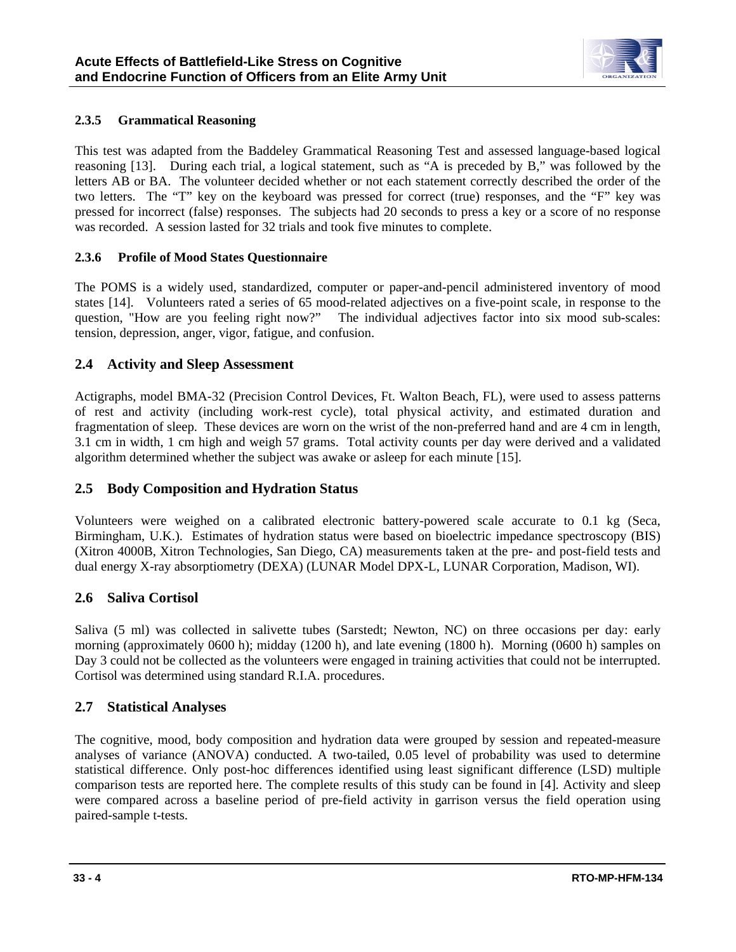

### **2.3.5 Grammatical Reasoning**

This test was adapted from the Baddeley Grammatical Reasoning Test and assessed language-based logical reasoning [13]. During each trial, a logical statement, such as "A is preceded by B," was followed by the letters AB or BA. The volunteer decided whether or not each statement correctly described the order of the two letters. The "T" key on the keyboard was pressed for correct (true) responses, and the "F" key was pressed for incorrect (false) responses. The subjects had 20 seconds to press a key or a score of no response was recorded. A session lasted for 32 trials and took five minutes to complete.

### **2.3.6 Profile of Mood States Questionnaire**

The POMS is a widely used, standardized, computer or paper-and-pencil administered inventory of mood states [14]. Volunteers rated a series of 65 mood-related adjectives on a five-point scale, in response to the question, "How are you feeling right now?" The individual adjectives factor into six mood sub-scales: tension, depression, anger, vigor, fatigue, and confusion.

### **2.4 Activity and Sleep Assessment**

Actigraphs, model BMA-32 (Precision Control Devices, Ft. Walton Beach, FL), were used to assess patterns of rest and activity (including work-rest cycle), total physical activity, and estimated duration and fragmentation of sleep. These devices are worn on the wrist of the non-preferred hand and are 4 cm in length, 3.1 cm in width, 1 cm high and weigh 57 grams. Total activity counts per day were derived and a validated algorithm determined whether the subject was awake or asleep for each minute [15].

### **2.5 Body Composition and Hydration Status**

Volunteers were weighed on a calibrated electronic battery-powered scale accurate to 0.1 kg (Seca, Birmingham, U.K.). Estimates of hydration status were based on bioelectric impedance spectroscopy (BIS) (Xitron 4000B, Xitron Technologies, San Diego, CA) measurements taken at the pre- and post-field tests and dual energy X-ray absorptiometry (DEXA) (LUNAR Model DPX-L, LUNAR Corporation, Madison, WI).

### **2.6 Saliva Cortisol**

Saliva (5 ml) was collected in salivette tubes (Sarstedt; Newton, NC) on three occasions per day: early morning (approximately 0600 h); midday (1200 h), and late evening (1800 h). Morning (0600 h) samples on Day 3 could not be collected as the volunteers were engaged in training activities that could not be interrupted. Cortisol was determined using standard R.I.A. procedures.

## **2.7 Statistical Analyses**

The cognitive, mood, body composition and hydration data were grouped by session and repeated-measure analyses of variance (ANOVA) conducted. A two-tailed, 0.05 level of probability was used to determine statistical difference. Only post-hoc differences identified using least significant difference (LSD) multiple comparison tests are reported here. The complete results of this study can be found in [4]. Activity and sleep were compared across a baseline period of pre-field activity in garrison versus the field operation using paired-sample t-tests.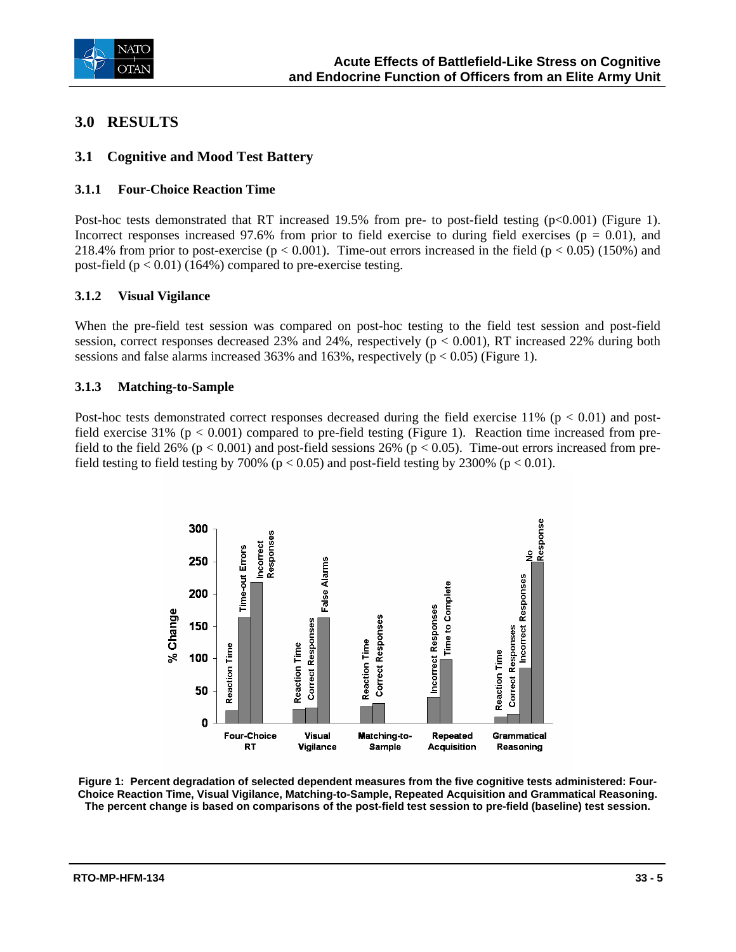

## **3.0 RESULTS**

### **3.1 Cognitive and Mood Test Battery**

### **3.1.1 Four-Choice Reaction Time**

Post-hoc tests demonstrated that RT increased 19.5% from pre- to post-field testing (p<0.001) (Figure 1). Incorrect responses increased 97.6% from prior to field exercise to during field exercises ( $p = 0.01$ ), and 218.4% from prior to post-exercise ( $p < 0.001$ ). Time-out errors increased in the field ( $p < 0.05$ ) (150%) and post-field  $(p < 0.01)$  (164%) compared to pre-exercise testing.

### **3.1.2 Visual Vigilance**

When the pre-field test session was compared on post-hoc testing to the field test session and post-field session, correct responses decreased 23% and 24%, respectively  $(p < 0.001)$ , RT increased 22% during both sessions and false alarms increased 363% and 163%, respectively  $(p < 0.05)$  (Figure 1).

### **3.1.3 Matching-to-Sample**

Post-hoc tests demonstrated correct responses decreased during the field exercise  $11\%$  (p < 0.01) and postfield exercise 31% ( $p < 0.001$ ) compared to pre-field testing (Figure 1). Reaction time increased from prefield to the field 26% ( $p < 0.001$ ) and post-field sessions 26% ( $p < 0.05$ ). Time-out errors increased from prefield testing to field testing by 700% ( $p < 0.05$ ) and post-field testing by 2300% ( $p < 0.01$ ).



**Figure 1: Percent degradation of selected dependent measures from the five cognitive tests administered: Four-Choice Reaction Time, Visual Vigilance, Matching-to-Sample, Repeated Acquisition and Grammatical Reasoning. The percent change is based on comparisons of the post-field test session to pre-field (baseline) test session.**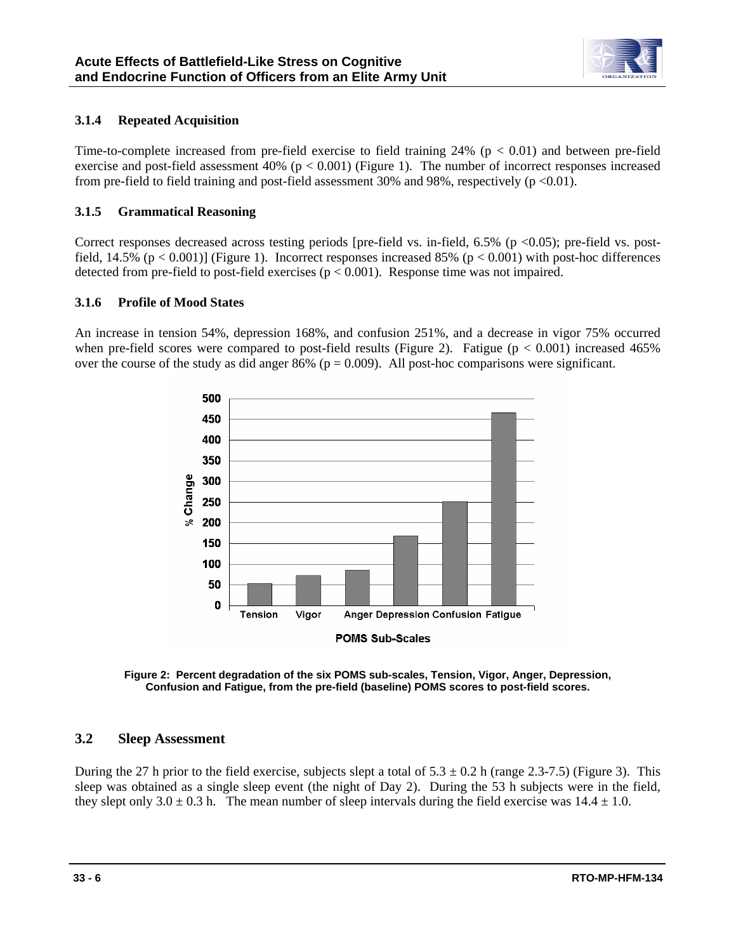

### **3.1.4 Repeated Acquisition**

Time-to-complete increased from pre-field exercise to field training  $24\%$  (p < 0.01) and between pre-field exercise and post-field assessment 40% ( $p < 0.001$ ) (Figure 1). The number of incorrect responses increased from pre-field to field training and post-field assessment 30% and 98%, respectively  $(p \le 0.01)$ .

### **3.1.5 Grammatical Reasoning**

Correct responses decreased across testing periods [pre-field vs. in-field,  $6.5\%$  (p <0.05); pre-field vs. postfield,  $14.5\%$  (p < 0.001)] (Figure 1). Incorrect responses increased 85% (p < 0.001) with post-hoc differences detected from pre-field to post-field exercises ( $p < 0.001$ ). Response time was not impaired.

#### **3.1.6 Profile of Mood States**

An increase in tension 54%, depression 168%, and confusion 251%, and a decrease in vigor 75% occurred when pre-field scores were compared to post-field results (Figure 2). Fatigue ( $p < 0.001$ ) increased 465% over the course of the study as did anger 86% ( $p = 0.009$ ). All post-hoc comparisons were significant.



**Figure 2: Percent degradation of the six POMS sub-scales, Tension, Vigor, Anger, Depression, Confusion and Fatigue, from the pre-field (baseline) POMS scores to post-field scores.** 

### **3.2 Sleep Assessment**

During the 27 h prior to the field exercise, subjects slept a total of  $5.3 \pm 0.2$  h (range 2.3-7.5) (Figure 3). This sleep was obtained as a single sleep event (the night of Day 2). During the 53 h subjects were in the field, they slept only  $3.0 \pm 0.3$  h. The mean number of sleep intervals during the field exercise was  $14.4 \pm 1.0$ .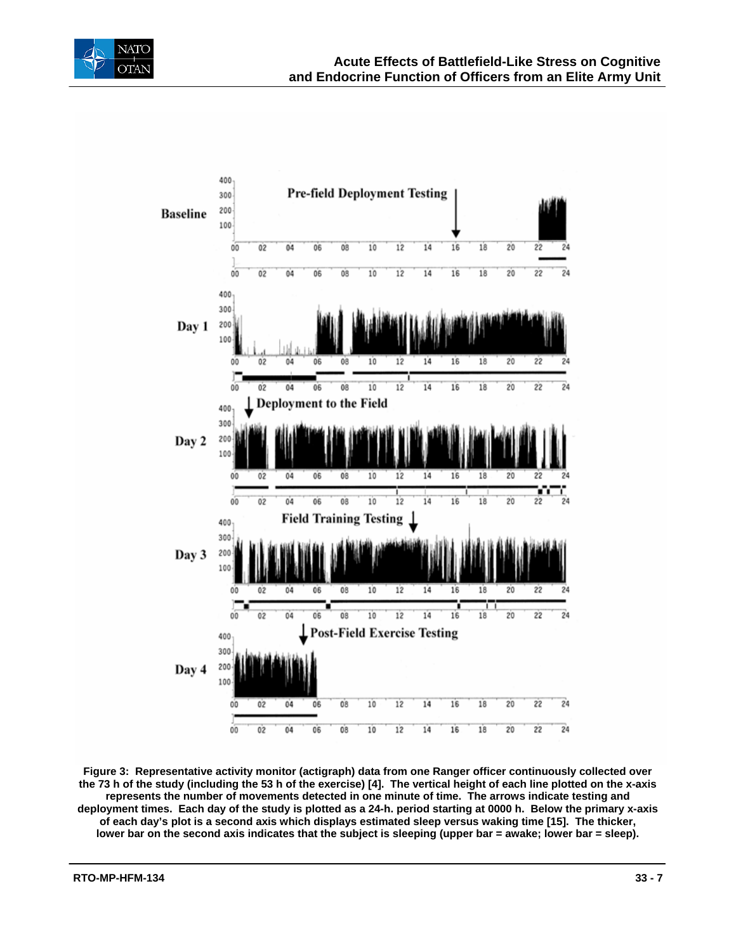



**Figure 3: Representative activity monitor (actigraph) data from one Ranger officer continuously collected over the 73 h of the study (including the 53 h of the exercise) [4]. The vertical height of each line plotted on the x-axis represents the number of movements detected in one minute of time. The arrows indicate testing and deployment times. Each day of the study is plotted as a 24-h. period starting at 0000 h. Below the primary x-axis of each day's plot is a second axis which displays estimated sleep versus waking time [15]. The thicker,**  lower bar on the second axis indicates that the subject is sleeping (upper bar = awake; lower bar = sleep).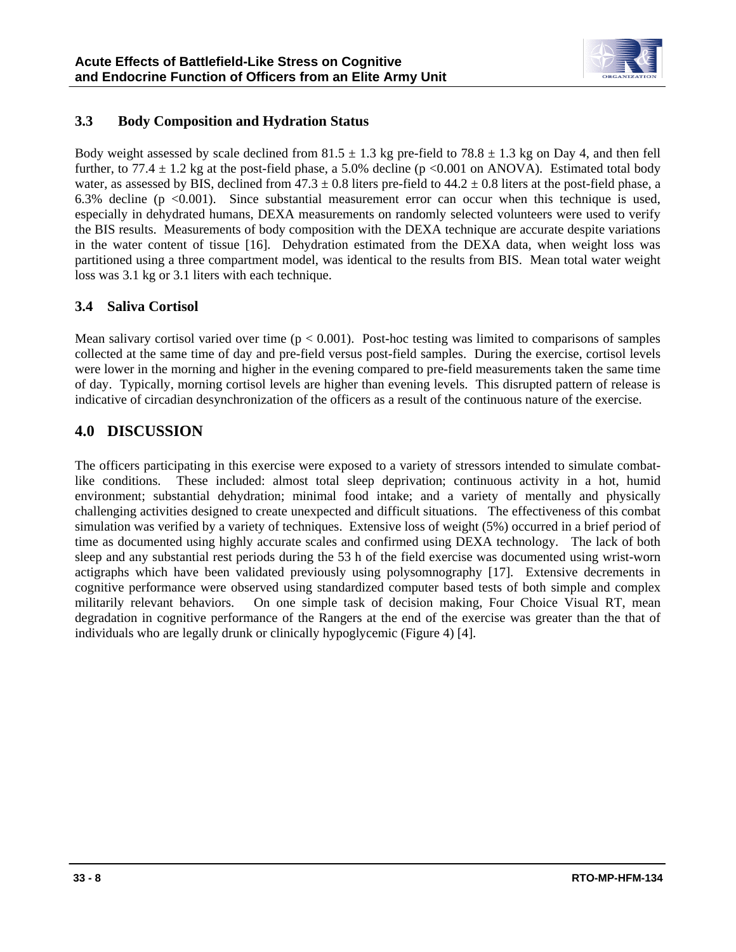

### **3.3 Body Composition and Hydration Status**

Body weight assessed by scale declined from  $81.5 \pm 1.3$  kg pre-field to  $78.8 \pm 1.3$  kg on Day 4, and then fell further, to 77.4  $\pm$  1.2 kg at the post-field phase, a 5.0% decline (p <0.001 on ANOVA). Estimated total body water, as assessed by BIS, declined from  $47.3 \pm 0.8$  liters pre-field to  $44.2 \pm 0.8$  liters at the post-field phase, a 6.3% decline ( $p \le 0.001$ ). Since substantial measurement error can occur when this technique is used, especially in dehydrated humans, DEXA measurements on randomly selected volunteers were used to verify the BIS results. Measurements of body composition with the DEXA technique are accurate despite variations in the water content of tissue [16]. Dehydration estimated from the DEXA data, when weight loss was partitioned using a three compartment model, was identical to the results from BIS. Mean total water weight loss was 3.1 kg or 3.1 liters with each technique.

### **3.4 Saliva Cortisol**

Mean salivary cortisol varied over time  $(p < 0.001)$ . Post-hoc testing was limited to comparisons of samples collected at the same time of day and pre-field versus post-field samples. During the exercise, cortisol levels were lower in the morning and higher in the evening compared to pre-field measurements taken the same time of day. Typically, morning cortisol levels are higher than evening levels. This disrupted pattern of release is indicative of circadian desynchronization of the officers as a result of the continuous nature of the exercise.

## **4.0 DISCUSSION**

The officers participating in this exercise were exposed to a variety of stressors intended to simulate combatlike conditions. These included: almost total sleep deprivation; continuous activity in a hot, humid environment; substantial dehydration; minimal food intake; and a variety of mentally and physically challenging activities designed to create unexpected and difficult situations. The effectiveness of this combat simulation was verified by a variety of techniques. Extensive loss of weight (5%) occurred in a brief period of time as documented using highly accurate scales and confirmed using DEXA technology. The lack of both sleep and any substantial rest periods during the 53 h of the field exercise was documented using wrist-worn actigraphs which have been validated previously using polysomnography [17]. Extensive decrements in cognitive performance were observed using standardized computer based tests of both simple and complex militarily relevant behaviors. On one simple task of decision making, Four Choice Visual RT, mean degradation in cognitive performance of the Rangers at the end of the exercise was greater than the that of individuals who are legally drunk or clinically hypoglycemic (Figure 4) [4].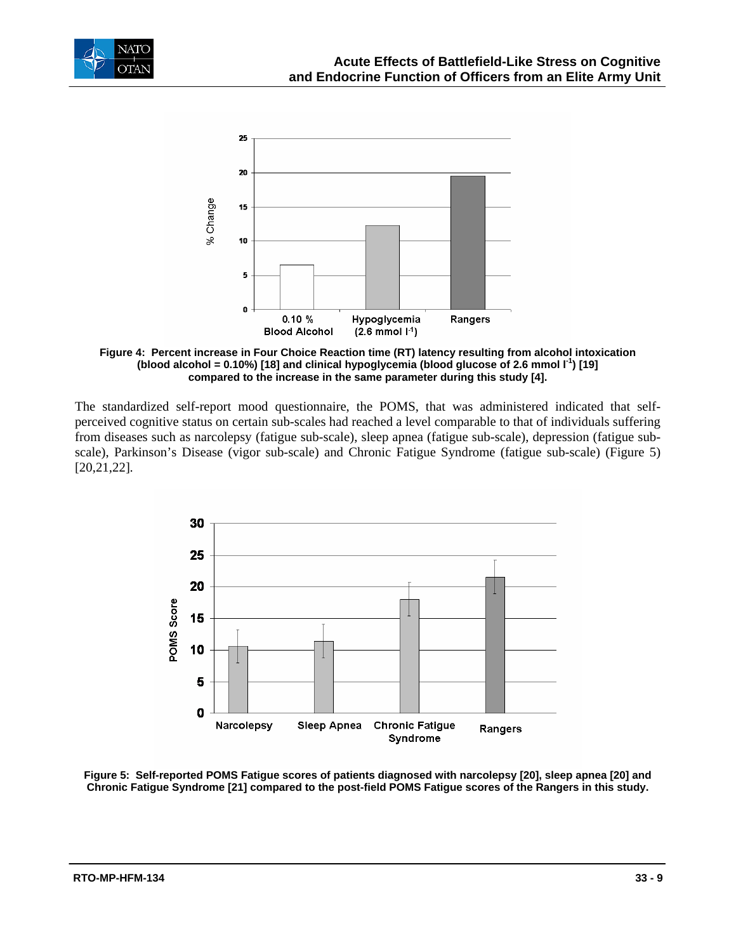



**Figure 4: Percent increase in Four Choice Reaction time (RT) latency resulting from alcohol intoxication**  (blood alcohol =  $0.10\%$ ) [18] and clinical hypoglycemia (blood glucose of 2.6 mmol  $I<sup>1</sup>$ ) [19] **compared to the increase in the same parameter during this study [4].** 

The standardized self-report mood questionnaire, the POMS, that was administered indicated that selfperceived cognitive status on certain sub-scales had reached a level comparable to that of individuals suffering from diseases such as narcolepsy (fatigue sub-scale), sleep apnea (fatigue sub-scale), depression (fatigue subscale), Parkinson's Disease (vigor sub-scale) and Chronic Fatigue Syndrome (fatigue sub-scale) (Figure 5) [20,21,22].



**Figure 5: Self-reported POMS Fatigue scores of patients diagnosed with narcolepsy [20], sleep apnea [20] and Chronic Fatigue Syndrome [21] compared to the post-field POMS Fatigue scores of the Rangers in this study.**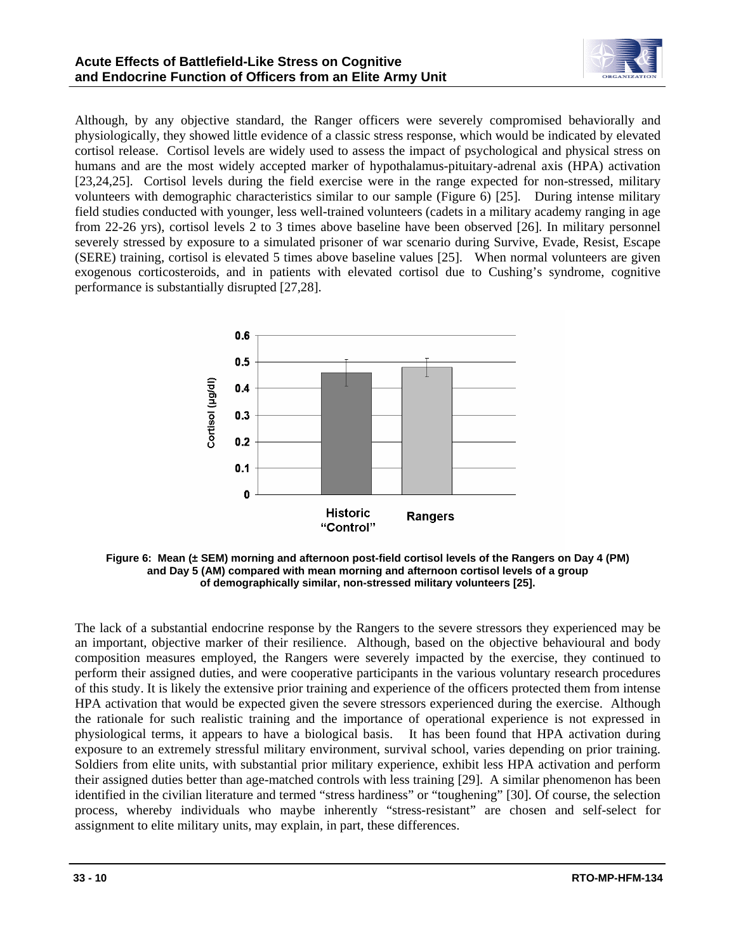

Although, by any objective standard, the Ranger officers were severely compromised behaviorally and physiologically, they showed little evidence of a classic stress response, which would be indicated by elevated cortisol release. Cortisol levels are widely used to assess the impact of psychological and physical stress on humans and are the most widely accepted marker of hypothalamus-pituitary-adrenal axis (HPA) activation [23,24,25]. Cortisol levels during the field exercise were in the range expected for non-stressed, military volunteers with demographic characteristics similar to our sample (Figure 6) [25]. During intense military field studies conducted with younger, less well-trained volunteers (cadets in a military academy ranging in age from 22-26 yrs), cortisol levels 2 to 3 times above baseline have been observed [26]. In military personnel severely stressed by exposure to a simulated prisoner of war scenario during Survive, Evade, Resist, Escape (SERE) training, cortisol is elevated 5 times above baseline values [25]. When normal volunteers are given exogenous corticosteroids, and in patients with elevated cortisol due to Cushing's syndrome, cognitive performance is substantially disrupted [27,28].



**Figure 6: Mean (± SEM) morning and afternoon post-field cortisol levels of the Rangers on Day 4 (PM) and Day 5 (AM) compared with mean morning and afternoon cortisol levels of a group of demographically similar, non-stressed military volunteers [25].** 

The lack of a substantial endocrine response by the Rangers to the severe stressors they experienced may be an important, objective marker of their resilience. Although, based on the objective behavioural and body composition measures employed, the Rangers were severely impacted by the exercise, they continued to perform their assigned duties, and were cooperative participants in the various voluntary research procedures of this study. It is likely the extensive prior training and experience of the officers protected them from intense HPA activation that would be expected given the severe stressors experienced during the exercise. Although the rationale for such realistic training and the importance of operational experience is not expressed in physiological terms, it appears to have a biological basis. It has been found that HPA activation during exposure to an extremely stressful military environment, survival school, varies depending on prior training. Soldiers from elite units, with substantial prior military experience, exhibit less HPA activation and perform their assigned duties better than age-matched controls with less training [29]. A similar phenomenon has been identified in the civilian literature and termed "stress hardiness" or "toughening" [30]. Of course, the selection process, whereby individuals who maybe inherently "stress-resistant" are chosen and self-select for assignment to elite military units, may explain, in part, these differences.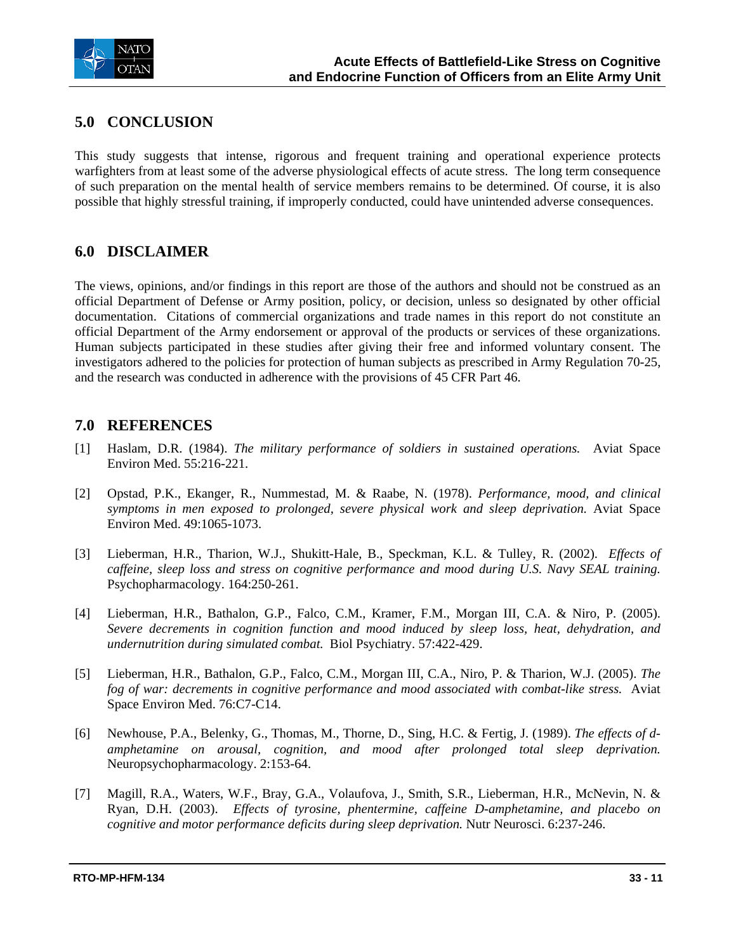

## **5.0 CONCLUSION**

This study suggests that intense, rigorous and frequent training and operational experience protects warfighters from at least some of the adverse physiological effects of acute stress. The long term consequence of such preparation on the mental health of service members remains to be determined. Of course, it is also possible that highly stressful training, if improperly conducted, could have unintended adverse consequences.

## **6.0 DISCLAIMER**

The views, opinions, and/or findings in this report are those of the authors and should not be construed as an official Department of Defense or Army position, policy, or decision, unless so designated by other official documentation. Citations of commercial organizations and trade names in this report do not constitute an official Department of the Army endorsement or approval of the products or services of these organizations. Human subjects participated in these studies after giving their free and informed voluntary consent. The investigators adhered to the policies for protection of human subjects as prescribed in Army Regulation 70-25, and the research was conducted in adherence with the provisions of 45 CFR Part 46.

## **7.0 REFERENCES**

- [1] Haslam, D.R. (1984). *The military performance of soldiers in sustained operations.* Aviat Space Environ Med. 55:216-221.
- [2] Opstad, P.K., Ekanger, R., Nummestad, M. & Raabe, N. (1978). *Performance, mood, and clinical symptoms in men exposed to prolonged, severe physical work and sleep deprivation.* Aviat Space Environ Med. 49:1065-1073.
- [3] Lieberman, H.R., Tharion, W.J., Shukitt-Hale, B., Speckman, K.L. & Tulley, R. (2002). *Effects of caffeine, sleep loss and stress on cognitive performance and mood during U.S. Navy SEAL training.*  Psychopharmacology. 164:250-261.
- [4] Lieberman, H.R., Bathalon, G.P., Falco, C.M., Kramer, F.M., Morgan III, C.A. & Niro, P. (2005). *Severe decrements in cognition function and mood induced by sleep loss, heat, dehydration, and undernutrition during simulated combat.* Biol Psychiatry. 57:422-429.
- [5] Lieberman, H.R., Bathalon, G.P., Falco, C.M., Morgan III, C.A., Niro, P. & Tharion, W.J. (2005). *The fog of war: decrements in cognitive performance and mood associated with combat-like stress.* Aviat Space Environ Med. 76:C7-C14.
- [6] Newhouse, P.A., Belenky, G., Thomas, M., Thorne, D., Sing, H.C. & Fertig, J. (1989). *The effects of damphetamine on arousal, cognition, and mood after prolonged total sleep deprivation.* Neuropsychopharmacology. 2:153-64.
- [7] Magill, R.A., Waters, W.F., Bray, G.A., Volaufova, J., Smith, S.R., Lieberman, H.R., McNevin, N. & Ryan, D.H. (2003). *Effects of tyrosine, phentermine, caffeine D-amphetamine, and placebo on cognitive and motor performance deficits during sleep deprivation.* Nutr Neurosci. 6:237-246.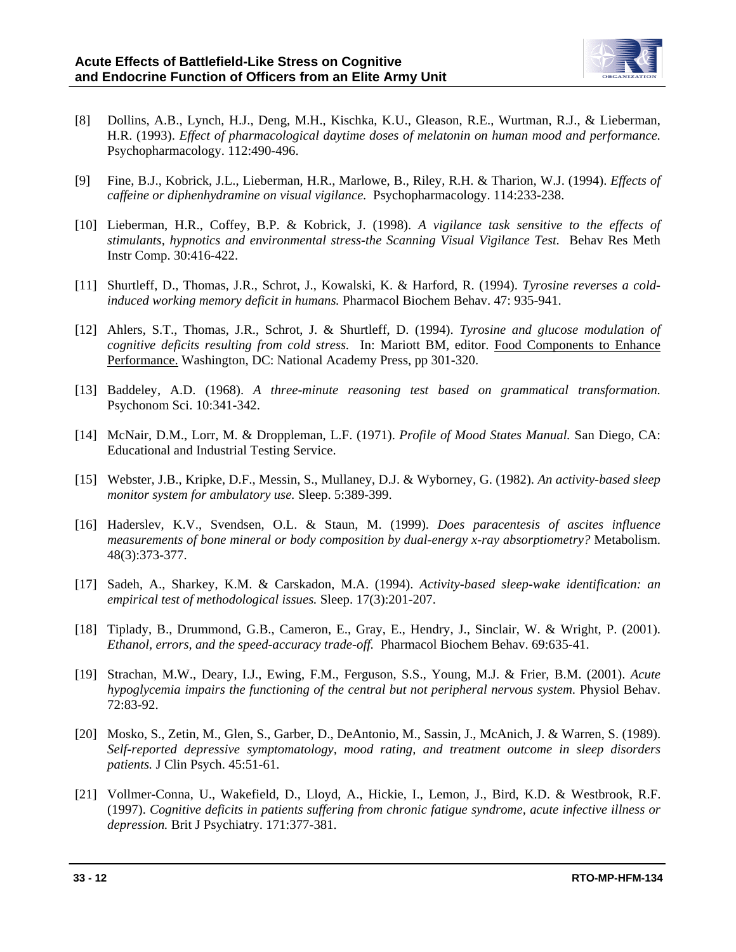

- [8] Dollins, A.B., Lynch, H.J., Deng, M.H., Kischka, K.U., Gleason, R.E., Wurtman, R.J., & Lieberman, H.R. (1993). *Effect of pharmacological daytime doses of melatonin on human mood and performance.* Psychopharmacology. 112:490-496.
- [9] Fine, B.J., Kobrick, J.L., Lieberman, H.R., Marlowe, B., Riley, R.H. & Tharion, W.J. (1994). *Effects of caffeine or diphenhydramine on visual vigilance.* Psychopharmacology. 114:233-238.
- [10] Lieberman, H.R., Coffey, B.P. & Kobrick, J. (1998). *A vigilance task sensitive to the effects of stimulants, hypnotics and environmental stress-the Scanning Visual Vigilance Test.* Behav Res Meth Instr Comp. 30:416-422.
- [11] Shurtleff, D., Thomas, J.R., Schrot, J., Kowalski, K. & Harford, R. (1994). *Tyrosine reverses a coldinduced working memory deficit in humans.* Pharmacol Biochem Behav. 47: 935-941.
- [12] Ahlers, S.T., Thomas, J.R., Schrot, J. & Shurtleff, D. (1994). *Tyrosine and glucose modulation of cognitive deficits resulting from cold stress.* In: Mariott BM, editor. Food Components to Enhance Performance. Washington, DC: National Academy Press, pp 301-320.
- [13] Baddeley, A.D. (1968). *A three-minute reasoning test based on grammatical transformation.* Psychonom Sci. 10:341-342.
- [14] McNair, D.M., Lorr, M. & Droppleman, L.F. (1971). *Profile of Mood States Manual.* San Diego, CA: Educational and Industrial Testing Service.
- [15] Webster, J.B., Kripke, D.F., Messin, S., Mullaney, D.J. & Wyborney, G. (1982). *An activity-based sleep monitor system for ambulatory use.* Sleep. 5:389-399.
- [16] Haderslev, K.V., Svendsen, O.L. & Staun, M. (1999). *Does paracentesis of ascites influence measurements of bone mineral or body composition by dual-energy x-ray absorptiometry?* Metabolism. 48(3):373-377.
- [17] Sadeh, A., Sharkey, K.M. & Carskadon, M.A. (1994). *Activity-based sleep-wake identification: an empirical test of methodological issues.* Sleep. 17(3):201-207.
- [18] Tiplady, B., Drummond, G.B., Cameron, E., Gray, E., Hendry, J., Sinclair, W. & Wright, P. (2001). *Ethanol, errors, and the speed-accuracy trade-off.* Pharmacol Biochem Behav. 69:635-41.
- [19] Strachan, M.W., Deary, I.J., Ewing, F.M., Ferguson, S.S., Young, M.J. & Frier, B.M. (2001). *Acute hypoglycemia impairs the functioning of the central but not peripheral nervous system.* Physiol Behav. 72:83-92.
- [20] Mosko, S., Zetin, M., Glen, S., Garber, D., DeAntonio, M., Sassin, J., McAnich, J. & Warren, S. (1989). *Self-reported depressive symptomatology, mood rating, and treatment outcome in sleep disorders patients.* J Clin Psych. 45:51-61.
- [21] Vollmer-Conna, U., Wakefield, D., Lloyd, A., Hickie, I., Lemon, J., Bird, K.D. & Westbrook, R.F. (1997). *Cognitive deficits in patients suffering from chronic fatigue syndrome, acute infective illness or depression.* Brit J Psychiatry. 171:377-381.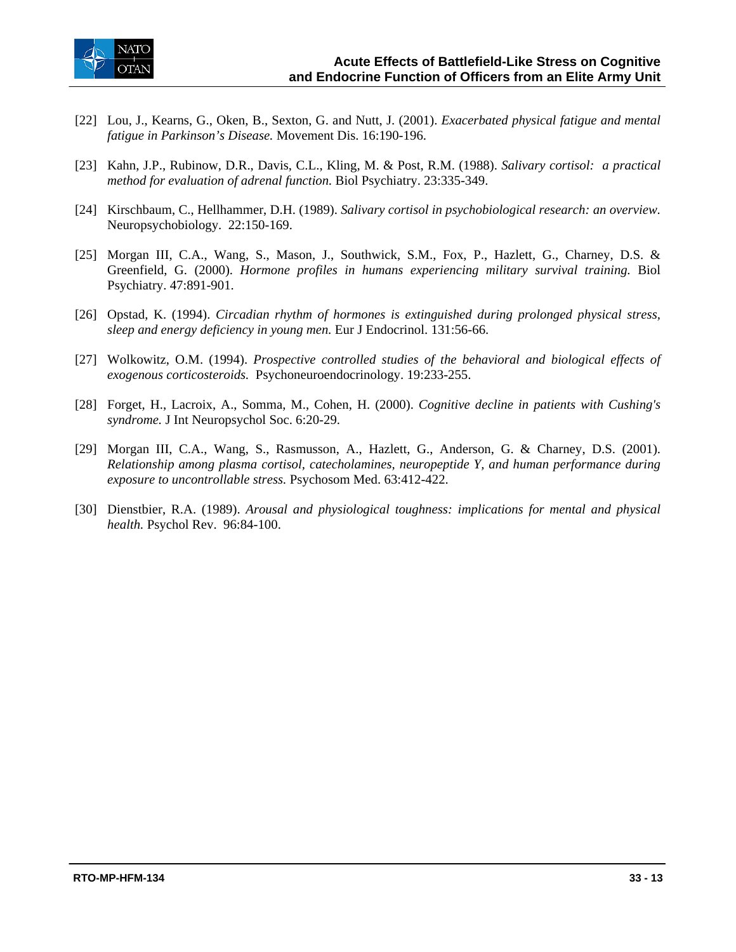

- [22] Lou, J., Kearns, G., Oken, B., Sexton, G. and Nutt, J. (2001). *Exacerbated physical fatigue and mental fatigue in Parkinson's Disease.* Movement Dis. 16:190-196.
- [23] Kahn, J.P., Rubinow, D.R., Davis, C.L., Kling, M. & Post, R.M. (1988). *Salivary cortisol: a practical method for evaluation of adrenal function.* Biol Psychiatry. 23:335-349.
- [24] Kirschbaum, C., Hellhammer, D.H. (1989). *Salivary cortisol in psychobiological research: an overview.* Neuropsychobiology. 22:150-169.
- [25] Morgan III, C.A., Wang, S., Mason, J., Southwick, S.M., Fox, P., Hazlett, G., Charney, D.S. & Greenfield, G. (2000). *Hormone profiles in humans experiencing military survival training.* Biol Psychiatry. 47:891-901.
- [26] Opstad, K. (1994). *Circadian rhythm of hormones is extinguished during prolonged physical stress, sleep and energy deficiency in young men.* Eur J Endocrinol. 131:56-66.
- [27] Wolkowitz, O.M. (1994). *Prospective controlled studies of the behavioral and biological effects of exogenous corticosteroids.* Psychoneuroendocrinology. 19:233-255.
- [28] Forget, H., Lacroix, A., Somma, M., Cohen, H. (2000). *Cognitive decline in patients with Cushing's syndrome.* J Int Neuropsychol Soc. 6:20-29.
- [29] Morgan III, C.A., Wang, S., Rasmusson, A., Hazlett, G., Anderson, G. & Charney, D.S. (2001). *Relationship among plasma cortisol, catecholamines, neuropeptide Y, and human performance during exposure to uncontrollable stress.* Psychosom Med. 63:412-422.
- [30] Dienstbier, R.A. (1989). *Arousal and physiological toughness: implications for mental and physical health.* Psychol Rev. 96:84-100.